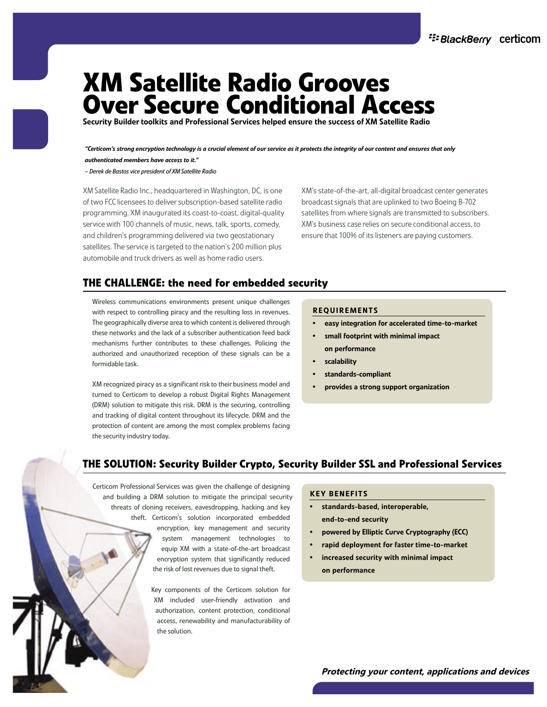# **XM Satellite Radio Grooves Over Secure Conditional Access**

Security Builder toolkits and Professional Services helped ensure the success of XM Satellite Radio

*"Certicom's strong encryption technology is a crucial element of our service as it protects the integrity of our content and ensures that only authenticated members have access to it."*

*– Derek de Bastos vice president of XM Satellite Radio*

XM Satellite Radio Inc., headquartered in Washington, DC, is one of two FCC licensees to deliver subscription-based satellite radio programming. XM inaugurated its coast-to-coast, digital-quality service with 100 channels of music, news, talk, sports, comedy, and children's programming delivered via two geostationary satellites. The service is targeted to the nation's 200 million plus automobile and truck drivers as well as home radio users.

XM's state-of-the-art, all-digital broadcast center generates broadcast signals that are uplinked to two Boeing B-702 satellites from where signals are transmitted to subscribers. XM's business case relies on secure conditional access, to ensure that 100% of its listeners are paying customers.

# **THE CHALLENGE: the need for embedded security**

Wireless communications environments present unique challenges with respect to controlling piracy and the resulting loss in revenues. The geographically diverse area to which content is delivered through these networks and the lack of a subscriber authentication feed back mechanisms further contributes to these challenges. Policing the authorized and unauthorized reception of these signals can be a formidable task.

XM recognized piracy as a significant risk to their business model and turned to Certicom to develop a robust Digital Rights Management (DRM) solution to mitigate this risk. DRM is the securing, controlling and tracking of digital content throughout its lifecycle. DRM and the protection of content are among the most complex problems facing the security industry today.

#### REQUIREMENTS

- easy integration for accelerated time-to-market
- small footprint with minimal impact on performance
- **scalability**
- standards-compliant
- provides a strong support organization

# **THE SOLUTION: Security Builder Crypto, Security Builder SSL and Professional Services**

Certicom Professional Services was given the challenge of designing and building a DRM solution to mitigate the principal security threats of cloning receivers, eavesdropping, hacking and key theft. Certicom's solution incorporated embedded encryption, key management and security system management technologies to equip XM with a state-of-the-art broadcast encryption system that significantly reduced the risk of lost revenues due to signal theft.

> Key components of the Certicom solution for XM included user-friendly activation and authorization, content protection, conditional access, renewability and manufacturability of the solution.

#### KEY BENEFITS

- standards-based, interoperable, end-to-end security
- powered by Elliptic Curve Cryptography (ECC)
- rapid deployment for faster time-to-market
- increased security with minimal impact on performance